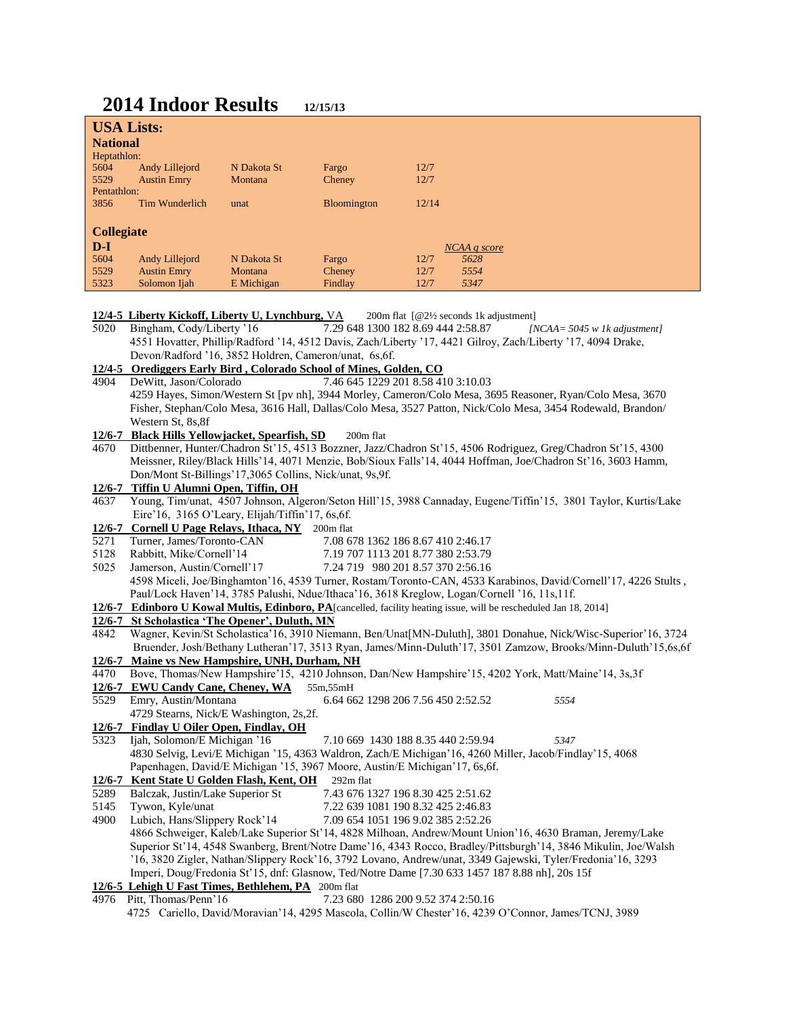# **2014 Indoor Results 12/15/13**

| <b>USA Lists:</b>                                                                                          |                                                                                                                    |             |                                    |       |              |                                                                                                               |
|------------------------------------------------------------------------------------------------------------|--------------------------------------------------------------------------------------------------------------------|-------------|------------------------------------|-------|--------------|---------------------------------------------------------------------------------------------------------------|
| <b>National</b>                                                                                            |                                                                                                                    |             |                                    |       |              |                                                                                                               |
| Heptathlon:                                                                                                |                                                                                                                    |             |                                    |       |              |                                                                                                               |
| 5604                                                                                                       | Andy Lillejord                                                                                                     | N Dakota St | Fargo                              | 12/7  |              |                                                                                                               |
| 5529                                                                                                       | <b>Austin Emry</b>                                                                                                 | Montana     | Cheney                             | 12/7  |              |                                                                                                               |
| Pentathlon:                                                                                                |                                                                                                                    |             |                                    |       |              |                                                                                                               |
| 3856                                                                                                       | Tim Wunderlich                                                                                                     | unat        | Bloomington                        | 12/14 |              |                                                                                                               |
|                                                                                                            |                                                                                                                    |             |                                    |       |              |                                                                                                               |
| <b>Collegiate</b>                                                                                          |                                                                                                                    |             |                                    |       |              |                                                                                                               |
| $D-I$                                                                                                      |                                                                                                                    |             |                                    |       | NCAA q score |                                                                                                               |
| 5604                                                                                                       | Andy Lillejord                                                                                                     | N Dakota St | Fargo                              | 12/7  | 5628         |                                                                                                               |
| 5529                                                                                                       | <b>Austin Emry</b>                                                                                                 | Montana     | Cheney                             | 12/7  | 5554         |                                                                                                               |
| 5323                                                                                                       | Solomon Ijah                                                                                                       | E Michigan  | Findlay                            | 12/7  | 5347         |                                                                                                               |
|                                                                                                            |                                                                                                                    |             |                                    |       |              |                                                                                                               |
| 12/4-5 Liberty Kickoff, Liberty U, Lynchburg, VA<br>200m flat $[@2\frac{1}{2}$ seconds 1k adjustment]$     |                                                                                                                    |             |                                    |       |              |                                                                                                               |
| Bingham, Cody/Liberty '16<br>7.29 648 1300 182 8.69 444 2:58.87<br>5020<br>[NCAA = $5045$ w 1k adjustment] |                                                                                                                    |             |                                    |       |              |                                                                                                               |
|                                                                                                            | 4551 Hovatter, Phillip/Radford '14, 4512 Davis, Zach/Liberty '17, 4421 Gilroy, Zach/Liberty '17, 4094 Drake,       |             |                                    |       |              |                                                                                                               |
|                                                                                                            | Devon/Radford '16, 3852 Holdren, Cameron/unat, 6s, 6f.                                                             |             |                                    |       |              |                                                                                                               |
| 12/4-5 Orediggers Early Bird, Colorado School of Mines, Golden, CO                                         |                                                                                                                    |             |                                    |       |              |                                                                                                               |
| 7.46 645 1229 201 8.58 410 3:10.03<br>DeWitt, Jason/Colorado<br>4904                                       |                                                                                                                    |             |                                    |       |              |                                                                                                               |
|                                                                                                            | 4259 Hayes, Simon/Western St [pv nh], 3944 Morley, Cameron/Colo Mesa, 3695 Reasoner, Ryan/Colo Mesa, 3670          |             |                                    |       |              |                                                                                                               |
|                                                                                                            | Fisher, Stephan/Colo Mesa, 3616 Hall, Dallas/Colo Mesa, 3527 Patton, Nick/Colo Mesa, 3454 Rodewald, Brandon/       |             |                                    |       |              |                                                                                                               |
|                                                                                                            | Western St, 8s, 8f                                                                                                 |             |                                    |       |              |                                                                                                               |
| 12/6-7                                                                                                     | <b>Black Hills Yellowjacket, Spearfish, SD</b><br>200m flat                                                        |             |                                    |       |              |                                                                                                               |
| 4670                                                                                                       | Dittbenner, Hunter/Chadron St'15, 4513 Bozzner, Jazz/Chadron St'15, 4506 Rodriguez, Greg/Chadron St'15, 4300       |             |                                    |       |              |                                                                                                               |
|                                                                                                            | Meissner, Riley/Black Hills'14, 4071 Menzie, Bob/Sioux Falls'14, 4044 Hoffman, Joe/Chadron St'16, 3603 Hamm,       |             |                                    |       |              |                                                                                                               |
|                                                                                                            | Don/Mont St-Billings'17,3065 Collins, Nick/unat, 9s,9f.                                                            |             |                                    |       |              |                                                                                                               |
|                                                                                                            | 12/6-7 Tiffin U Alumni Open, Tiffin, OH                                                                            |             |                                    |       |              |                                                                                                               |
| 4637                                                                                                       | Young, Tim/unat, 4507 Johnson, Algeron/Seton Hill'15, 3988 Cannaday, Eugene/Tiffin'15, 3801 Taylor, Kurtis/Lake    |             |                                    |       |              |                                                                                                               |
|                                                                                                            | Eire'16, 3165 O'Leary, Elijah/Tiffin'17, 6s, 6f.                                                                   |             |                                    |       |              |                                                                                                               |
| $12/6 - 7$                                                                                                 | <b>Cornell U Page Relays, Ithaca, NY</b> 200m flat                                                                 |             |                                    |       |              |                                                                                                               |
| 5271                                                                                                       | 7.08 678 1362 186 8.67 410 2:46.17<br>Turner, James/Toronto-CAN                                                    |             |                                    |       |              |                                                                                                               |
| 5128                                                                                                       | Rabbitt, Mike/Cornell'14<br>7.19 707 1113 201 8.77 380 2:53.79                                                     |             |                                    |       |              |                                                                                                               |
| 5025                                                                                                       | Jamerson, Austin/Cornell'17<br>7.24 719 980 201 8.57 370 2:56.16                                                   |             |                                    |       |              |                                                                                                               |
|                                                                                                            | 4598 Miceli, Joe/Binghamton'16, 4539 Turner, Rostam/Toronto-CAN, 4533 Karabinos, David/Cornell'17, 4226 Stults,    |             |                                    |       |              |                                                                                                               |
|                                                                                                            | Paul/Lock Haven'14, 3785 Palushi, Ndue/Ithaca'16, 3618 Kreglow, Logan/Cornell '16, 11s, 11f.                       |             |                                    |       |              |                                                                                                               |
|                                                                                                            | 12/6-7 Edinboro U Kowal Multis, Edinboro, PA [cancelled, facility heating issue, will be rescheduled Jan 18, 2014] |             |                                    |       |              |                                                                                                               |
|                                                                                                            | 12/6-7 St Scholastica 'The Opener', Duluth, MN                                                                     |             |                                    |       |              |                                                                                                               |
| 4842                                                                                                       | Wagner, Kevin/St Scholastica'16, 3910 Niemann, Ben/Unat[MN-Duluth], 3801 Donahue, Nick/Wisc-Superior'16, 3724      |             |                                    |       |              |                                                                                                               |
|                                                                                                            |                                                                                                                    |             |                                    |       |              | Bruender, Josh/Bethany Lutheran'17, 3513 Ryan, James/Minn-Duluth'17, 3501 Zamzow, Brooks/Minn-Duluth'15,6s,6f |
| 12/6-7                                                                                                     | Maine vs New Hampshire, UNH, Durham, NH                                                                            |             |                                    |       |              |                                                                                                               |
| 4470                                                                                                       | Bove, Thomas/New Hampshire'15, 4210 Johnson, Dan/New Hampshire'15, 4202 York, Matt/Maine'14, 3s,3f                 |             |                                    |       |              |                                                                                                               |
|                                                                                                            | 12/6-7 EWU Candy Cane, Cheney, WA 55m, 55mH                                                                        |             |                                    |       |              |                                                                                                               |
| 5529                                                                                                       | Emry, Austin/Montana                                                                                               |             | 6.64 662 1298 206 7.56 450 2:52.52 |       |              | 5554                                                                                                          |
|                                                                                                            | 4729 Stearns, Nick/E Washington, 2s,2f.                                                                            |             |                                    |       |              |                                                                                                               |
| $12/6 - 7$                                                                                                 | Findlay U Oiler Open, Findlay, OH                                                                                  |             |                                    |       |              |                                                                                                               |
| 5323                                                                                                       | Ijah, Solomon/E Michigan '16                                                                                       |             | 7.10 669 1430 188 8.35 440 2:59.94 |       |              | 5347                                                                                                          |
|                                                                                                            | 4830 Selvig, Levi/E Michigan '15, 4363 Waldron, Zach/E Michigan'16, 4260 Miller, Jacob/Findlay'15, 4068            |             |                                    |       |              |                                                                                                               |
|                                                                                                            | Papenhagen, David/E Michigan '15, 3967 Moore, Austin/E Michigan'17, 6s, 6f.                                        |             |                                    |       |              |                                                                                                               |
| 12/6-7                                                                                                     | Kent State U Golden Flash, Kent, OH                                                                                |             | 292m flat                          |       |              |                                                                                                               |
| 5289                                                                                                       | Balczak, Justin/Lake Superior St                                                                                   |             | 7.43 676 1327 196 8.30 425 2:51.62 |       |              |                                                                                                               |
| 5145                                                                                                       | Tywon, Kyle/unat                                                                                                   |             | 7.22 639 1081 190 8.32 425 2:46.83 |       |              |                                                                                                               |
| 4900                                                                                                       | Lubich, Hans/Slippery Rock'14<br>7.09 654 1051 196 9.02 385 2:52.26                                                |             |                                    |       |              |                                                                                                               |
|                                                                                                            | 4866 Schweiger, Kaleb/Lake Superior St'14, 4828 Milhoan, Andrew/Mount Union'16, 4630 Braman, Jeremy/Lake           |             |                                    |       |              |                                                                                                               |
|                                                                                                            | Superior St'14, 4548 Swanberg, Brent/Notre Dame'16, 4343 Rocco, Bradley/Pittsburgh'14, 3846 Mikulin, Joe/Walsh     |             |                                    |       |              |                                                                                                               |
|                                                                                                            | '16, 3820 Zigler, Nathan/Slippery Rock'16, 3792 Lovano, Andrew/unat, 3349 Gajewski, Tyler/Fredonia'16, 3293        |             |                                    |       |              |                                                                                                               |
| Imperi, Doug/Fredonia St'15, dnf: Glasnow, Ted/Notre Dame [7.30 633 1457 187 8.88 nh], 20s 15f             |                                                                                                                    |             |                                    |       |              |                                                                                                               |
|                                                                                                            | 12/6-5 Lehigh U Fast Times, Bethlehem, PA 200m flat                                                                |             |                                    |       |              |                                                                                                               |
|                                                                                                            | 4976 Pitt, Thomas/Penn'16                                                                                          |             | 7.23 680 1286 200 9.52 374 2:50.16 |       |              |                                                                                                               |

 <sup>4725</sup> Cariello, David/Moravian'14, 4295 Mascola, Collin/W Chester'16, 4239 O'Connor, James/TCNJ, 3989